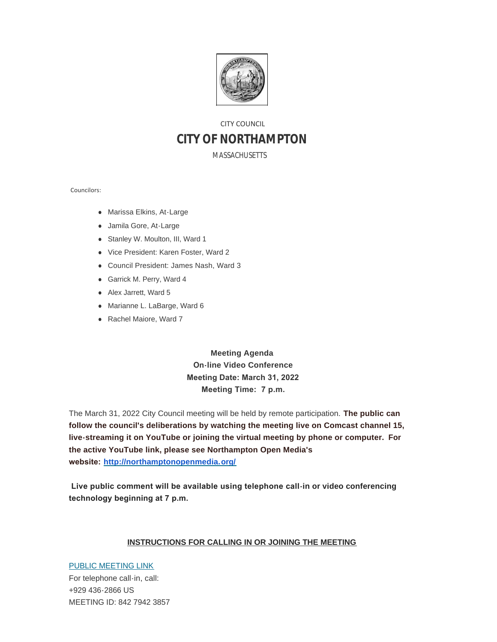

# CITY COUNCIL **CITY OF NORTHAMPTON**

MASSACHUSETTS

Councilors:

- Marissa Elkins, At-Large
- Jamila Gore, At-Large
- Stanley W. Moulton, III, Ward 1
- Vice President: Karen Foster, Ward 2
- Council President: James Nash, Ward 3
- **Garrick M. Perry, Ward 4**
- Alex Jarrett, Ward 5
- Marianne L. LaBarge, Ward 6
- Rachel Maiore, Ward 7

**Meeting Agenda On-line Video Conference Meeting Date: March 31, 2022 Meeting Time: 7 p.m.**

The March 31, 2022 City Council meeting will be held by remote participation. **The public can follow the council's deliberations by watching the meeting live on Comcast channel 15, live-streaming it on YouTube or joining the virtual meeting by phone or computer. For the active YouTube link, please see Northampton Open Media's website: <http://northamptonopenmedia.org/>**

 **Live public comment will be available using telephone call-in or video conferencing technology beginning at 7 p.m.** 

#### **INSTRUCTIONS FOR CALLING IN OR JOINING THE MEETING**

[PUBLIC MEETING LINK](https://us06web.zoom.us/j/84279423857?pwd=aStDQms0OHF2Y2doSTkwZ05KSjNkZz09) For telephone call-in, call: +929 436-2866 US MEETING ID: 842 7942 3857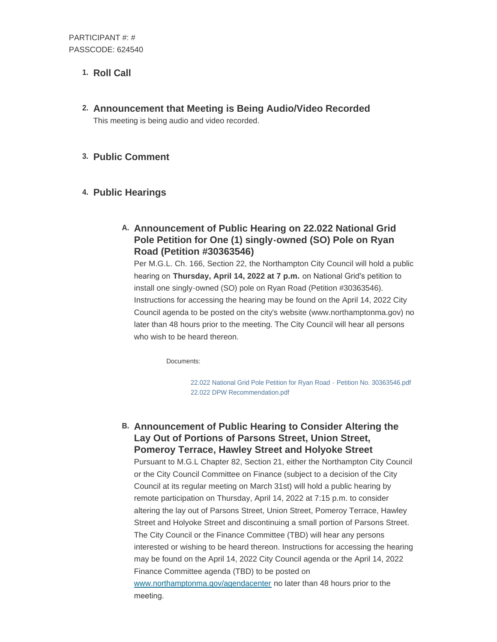## 1. Roll Call

**Announcement that Meeting is Being Audio/Video Recorded 2.** This meeting is being audio and video recorded.

### **Public Comment 3.**

## **Public Hearings 4.**

## **Announcement of Public Hearing on 22.022 National Grid A. Pole Petition for One (1) singly-owned (SO) Pole on Ryan Road (Petition #30363546)**

Per M.G.L. Ch. 166, Section 22, the Northampton City Council will hold a public hearing on **Thursday, April 14, 2022 at 7 p.m.** on National Grid's petition to install one singly-owned (SO) pole on Ryan Road (Petition #30363546). Instructions for accessing the hearing may be found on the April 14, 2022 City Council agenda to be posted on the city's website (www.northamptonma.gov) no later than 48 hours prior to the meeting. The City Council will hear all persons who wish to be heard thereon.

Documents:

[22.022 National Grid Pole Petition for Ryan Road - Petition No. 30363546.pdf](https://northamptonma.gov/AgendaCenter/ViewFile/Item/18860?fileID=164950) [22.022 DPW Recommendation.pdf](https://northamptonma.gov/AgendaCenter/ViewFile/Item/18860?fileID=164951)

**Announcement of Public Hearing to Consider Altering the B. Lay Out of Portions of Parsons Street, Union Street, Pomeroy Terrace, Hawley Street and Holyoke Street**

Pursuant to M.G.L Chapter 82, Section 21, either the Northampton City Council or the City Council Committee on Finance (subject to a decision of the City Council at its regular meeting on March 31st) will hold a public hearing by remote participation on Thursday, April 14, 2022 at 7:15 p.m. to consider altering the lay out of Parsons Street, Union Street, Pomeroy Terrace, Hawley Street and Holyoke Street and discontinuing a small portion of Parsons Street. The City Council or the Finance Committee (TBD) will hear any persons interested or wishing to be heard thereon. Instructions for accessing the hearing may be found on the April 14, 2022 City Council agenda or the April 14, 2022 Finance Committee agenda (TBD) to be posted on [www.northamptonma.gov/agendacenter](https://www.northamptonma.gov/agendacenter) no later than 48 hours prior to the meeting.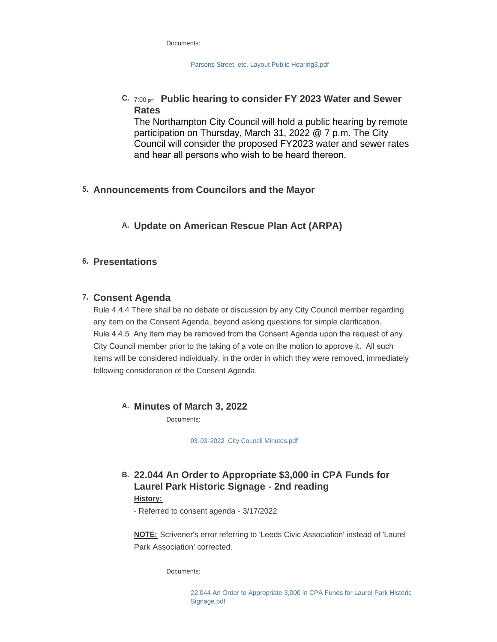| Documents: |
|------------|
|------------|

[Parsons Street, etc. Layout Public Hearing3.pdf](https://northamptonma.gov/AgendaCenter/ViewFile/Item/18850?fileID=164992)

### **Public hearing to consider FY 2023 Water and Sewer C.** 7:00 pm **Rates**

The Northampton City Council will hold a public hearing by remote participation on Thursday, March 31, 2022 @ 7 p.m. The City Council will consider the proposed FY2023 water and sewer rates and hear all persons who wish to be heard thereon.

### **Announcements from Councilors and the Mayor 5.**

### **Update on American Rescue Plan Act (ARPA) A.**

### **Presentations 6.**

### **Consent Agenda 7.**

Rule 4.4.4 There shall be no debate or discussion by any City Council member regarding any item on the Consent Agenda, beyond asking questions for simple clarification. Rule 4.4.5 Any item may be removed from the Consent Agenda upon the request of any City Council member prior to the taking of a vote on the motion to approve it. All such items will be considered individually, in the order in which they were removed, immediately following consideration of the Consent Agenda.

### **Minutes of March 3, 2022 A.**

Documents:

[03-03-2022\\_City Council Minutes.pdf](https://northamptonma.gov/AgendaCenter/ViewFile/Item/18865?fileID=164952)

### **22.044 An Order to Appropriate \$3,000 in CPA Funds for B. Laurel Park Historic Signage - 2nd reading History:**

- Referred to consent agenda - 3/17/2022

**NOTE:** Scrivener's error referring to 'Leeds Civic Association' instead of 'Laurel Park Association' corrected.

Documents:

[22.044 An Order to Appropriate 3,000 in CPA Funds for Laurel Park Historic](https://northamptonma.gov/AgendaCenter/ViewFile/Item/18866?fileID=164953)  Signage.pdf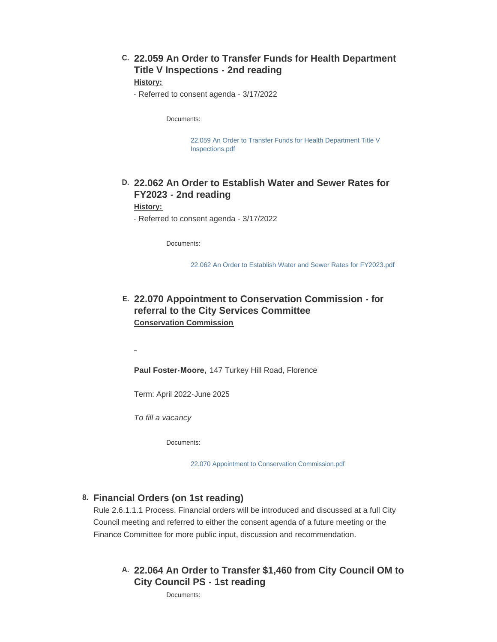## **22.059 An Order to Transfer Funds for Health Department C. Title V Inspections - 2nd reading**

#### **History:**

- Referred to consent agenda - 3/17/2022

Documents:

[22.059 An Order to Transfer Funds for Health Department Title V](https://northamptonma.gov/AgendaCenter/ViewFile/Item/18867?fileID=164954)  Inspections.pdf

### **22.062 An Order to Establish Water and Sewer Rates for D. FY2023 - 2nd reading**

#### **History:**

 $\overline{a}$ 

- Referred to consent agenda - 3/17/2022

Documents:

[22.062 An Order to Establish Water and Sewer Rates for FY2023.pdf](https://northamptonma.gov/AgendaCenter/ViewFile/Item/18868?fileID=164955)

### **22.070 Appointment to Conservation Commission - for E. referral to the City Services Committee Conservation Commission**

**Paul Foster-Moore,** 147 Turkey Hill Road, Florence

Term: April 2022-June 2025

*To fill a vacancy*

Documents:

[22.070 Appointment to Conservation Commission.pdf](https://northamptonma.gov/AgendaCenter/ViewFile/Item/18853?fileID=164947)

#### **Financial Orders (on 1st reading) 8.**

Rule 2.6.1.1.1 Process. Financial orders will be introduced and discussed at a full City Council meeting and referred to either the consent agenda of a future meeting or the Finance Committee for more public input, discussion and recommendation.

### **22.064 An Order to Transfer \$1,460 from City Council OM to A. City Council PS - 1st reading**

Documents: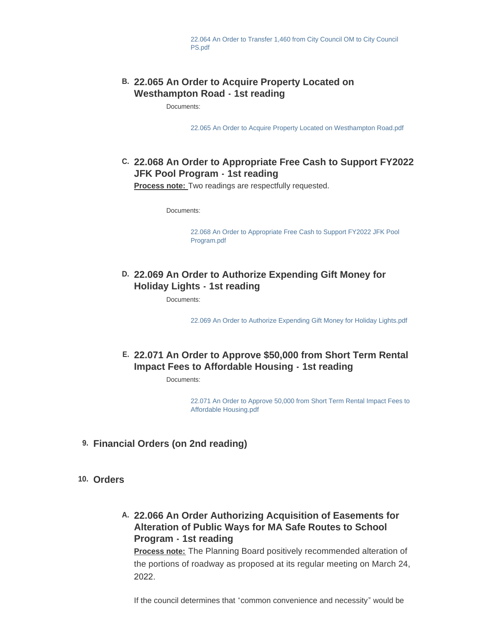### **22.065 An Order to Acquire Property Located on B. Westhampton Road - 1st reading**

Documents:

[22.065 An Order to Acquire Property Located on Westhampton Road.pdf](https://northamptonma.gov/AgendaCenter/ViewFile/Item/18871?fileID=164957)

## **22.068 An Order to Appropriate Free Cash to Support FY2022 C. JFK Pool Program - 1st reading**

**Process note:** Two readings are respectfully requested.

Documents:

[22.068 An Order to Appropriate Free Cash to Support FY2022 JFK Pool](https://northamptonma.gov/AgendaCenter/ViewFile/Item/18872?fileID=164958)  Program.pdf

### **22.069 An Order to Authorize Expending Gift Money for D. Holiday Lights - 1st reading**

Documents:

[22.069 An Order to Authorize Expending Gift Money for Holiday Lights.pdf](https://northamptonma.gov/AgendaCenter/ViewFile/Item/18852?fileID=164946)

## **22.071 An Order to Approve \$50,000 from Short Term Rental E. Impact Fees to Affordable Housing - 1st reading**

Documents:

[22.071 An Order to Approve 50,000 from Short Term Rental Impact Fees to](https://northamptonma.gov/AgendaCenter/ViewFile/Item/18854?fileID=164948)  Affordable Housing.pdf

- **Financial Orders (on 2nd reading) 9.**
- **Orders 10.**
	- **22.066 An Order Authorizing Acquisition of Easements for A. Alteration of Public Ways for MA Safe Routes to School Program - 1st reading**

**Process note:** The Planning Board positively recommended alteration of the portions of roadway as proposed at its regular meeting on March 24, 2022.

If the council determines that "common convenience and necessity" would be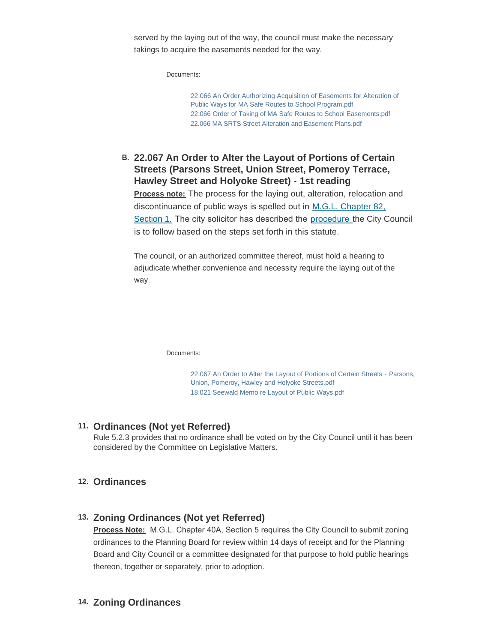served by the laying out of the way, the council must make the necessary takings to acquire the easements needed for the way.

Documents:

[22.066 An Order Authorizing Acquisition of Easements for Alteration of](https://northamptonma.gov/AgendaCenter/ViewFile/Item/18875?fileID=164959)  Public Ways for MA Safe Routes to School Program.pdf [22.066 Order of Taking of MA Safe Routes to School Easements.pdf](https://northamptonma.gov/AgendaCenter/ViewFile/Item/18875?fileID=164960) [22.066 MA SRTS Street Alteration and Easement Plans.pdf](https://northamptonma.gov/AgendaCenter/ViewFile/Item/18875?fileID=164961)

**22.067 An Order to Alter the Layout of Portions of Certain B. Streets (Parsons Street, Union Street, Pomeroy Terrace, Hawley Street and Holyoke Street) - 1st reading**

**Process note:** The process for the laying out, alteration, relocation and discontinuance of public ways is spelled out in [M.G.L. Chapter 82,](https://malegislature.gov/Laws/GeneralLaws/PartI/TitleXIV/Chapter82)  Section 1. The city solicitor has described the [procedure](https://northamptonma.gov/DocumentCenter/View/19543/18021-Seewald-Memo-re-Layout-of-Public-Ways) the City Council is to follow based on the steps set forth in this statute.

The council, or an authorized committee thereof, must hold a hearing to adjudicate whether convenience and necessity require the laying out of the way.

Documents:

[22.067 An Order to Alter the Layout of Portions of Certain Streets - Parsons,](https://northamptonma.gov/AgendaCenter/ViewFile/Item/18876?fileID=164962)  Union, Pomeroy, Hawley and Holyoke Streets.pdf [18.021 Seewald Memo re Layout of Public Ways.pdf](https://northamptonma.gov/AgendaCenter/ViewFile/Item/18876?fileID=164963)

### **Ordinances (Not yet Referred) 11.**

Rule 5.2.3 provides that no ordinance shall be voted on by the City Council until it has been considered by the Committee on Legislative Matters.

### **Ordinances 12.**

### 13. Zoning Ordinances (Not yet Referred)

**Process Note:** M.G.L. Chapter 40A, Section 5 requires the City Council to submit zoning ordinances to the Planning Board for review within 14 days of receipt and for the Planning Board and City Council or a committee designated for that purpose to hold public hearings thereon, together or separately, prior to adoption.

14. Zoning Ordinances